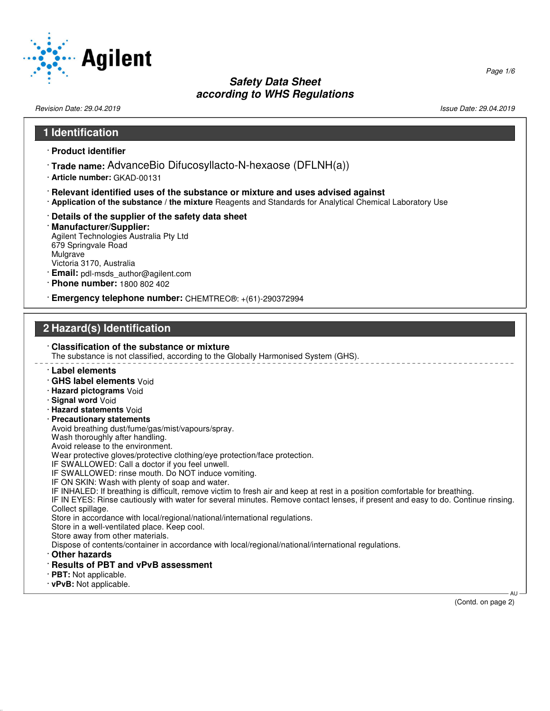

Revision Date: 29.04.2019 Issue Date: 29.04.2019

| 1 Identification                                                                                                                                                                                                                                                                                                                                                                                                                                                                                                                                                                                                                                                                                                                                                                                                                                                                                                                                                                                                                                                                                                                                                                                                                                                                                                                                            |                    |
|-------------------------------------------------------------------------------------------------------------------------------------------------------------------------------------------------------------------------------------------------------------------------------------------------------------------------------------------------------------------------------------------------------------------------------------------------------------------------------------------------------------------------------------------------------------------------------------------------------------------------------------------------------------------------------------------------------------------------------------------------------------------------------------------------------------------------------------------------------------------------------------------------------------------------------------------------------------------------------------------------------------------------------------------------------------------------------------------------------------------------------------------------------------------------------------------------------------------------------------------------------------------------------------------------------------------------------------------------------------|--------------------|
| · Product identifier                                                                                                                                                                                                                                                                                                                                                                                                                                                                                                                                                                                                                                                                                                                                                                                                                                                                                                                                                                                                                                                                                                                                                                                                                                                                                                                                        |                    |
| $\cdot$ Trade name: AdvanceBio Difucosyllacto-N-hexaose (DFLNH(a))<br>· Article number: GKAD-00131                                                                                                                                                                                                                                                                                                                                                                                                                                                                                                                                                                                                                                                                                                                                                                                                                                                                                                                                                                                                                                                                                                                                                                                                                                                          |                    |
| · Relevant identified uses of the substance or mixture and uses advised against<br>. Application of the substance / the mixture Reagents and Standards for Analytical Chemical Laboratory Use                                                                                                                                                                                                                                                                                                                                                                                                                                                                                                                                                                                                                                                                                                                                                                                                                                                                                                                                                                                                                                                                                                                                                               |                    |
| Details of the supplier of the safety data sheet<br>· Manufacturer/Supplier:<br>Agilent Technologies Australia Pty Ltd<br>679 Springvale Road<br>Mulgrave<br>Victoria 3170, Australia<br>· Email: pdl-msds_author@agilent.com<br>· Phone number: 1800 802 402                                                                                                                                                                                                                                                                                                                                                                                                                                                                                                                                                                                                                                                                                                                                                                                                                                                                                                                                                                                                                                                                                               |                    |
| · Emergency telephone number: CHEMTREC®: +(61)-290372994                                                                                                                                                                                                                                                                                                                                                                                                                                                                                                                                                                                                                                                                                                                                                                                                                                                                                                                                                                                                                                                                                                                                                                                                                                                                                                    |                    |
|                                                                                                                                                                                                                                                                                                                                                                                                                                                                                                                                                                                                                                                                                                                                                                                                                                                                                                                                                                                                                                                                                                                                                                                                                                                                                                                                                             |                    |
| 2 Hazard(s) Identification                                                                                                                                                                                                                                                                                                                                                                                                                                                                                                                                                                                                                                                                                                                                                                                                                                                                                                                                                                                                                                                                                                                                                                                                                                                                                                                                  |                    |
| Classification of the substance or mixture<br>The substance is not classified, according to the Globally Harmonised System (GHS).<br>· Label elements<br>· GHS label elements Void<br>· Hazard pictograms Void<br>· Signal word Void<br>· Hazard statements Void<br>· Precautionary statements<br>Avoid breathing dust/fume/gas/mist/vapours/spray.<br>Wash thoroughly after handling.<br>Avoid release to the environment.<br>Wear protective gloves/protective clothing/eye protection/face protection.<br>IF SWALLOWED: Call a doctor if you feel unwell.<br>IF SWALLOWED: rinse mouth. Do NOT induce vomiting.<br>IF ON SKIN: Wash with plenty of soap and water.<br>IF INHALED: If breathing is difficult, remove victim to fresh air and keep at rest in a position comfortable for breathing.<br>IF IN EYES: Rinse cautiously with water for several minutes. Remove contact lenses, if present and easy to do. Continue rinsing.<br>Collect spillage.<br>Store in accordance with local/regional/national/international regulations.<br>Store in a well-ventilated place. Keep cool.<br>Store away from other materials.<br>Dispose of contents/container in accordance with local/regional/national/international regulations.<br>Other hazards<br>· Results of PBT and vPvB assessment<br>$\cdot$ PBT: Not applicable.<br>· vPvB: Not applicable. | $AU -$             |
|                                                                                                                                                                                                                                                                                                                                                                                                                                                                                                                                                                                                                                                                                                                                                                                                                                                                                                                                                                                                                                                                                                                                                                                                                                                                                                                                                             | (Contd. on page 2) |

Page 1/6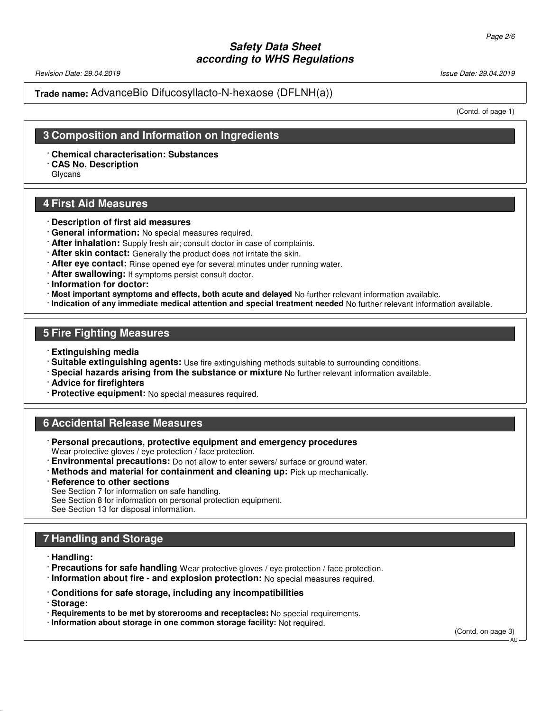Revision Date: 29.04.2019 Issue Date: 29.04.2019

#### **Trade name:** AdvanceBio Difucosyllacto-N-hexaose (DFLNH(a))

(Contd. of page 1)

# **3 Composition and Information on Ingredients**

· **Chemical characterisation: Substances**

· **CAS No. Description**

Glycans

# **4 First Aid Measures**

- · **Description of first aid measures**
- · **General information:** No special measures required.
- · **After inhalation:** Supply fresh air; consult doctor in case of complaints.
- · **After skin contact:** Generally the product does not irritate the skin.
- · **After eye contact:** Rinse opened eye for several minutes under running water.
- · **After swallowing:** If symptoms persist consult doctor.
- · **Information for doctor:**
- · **Most important symptoms and effects, both acute and delayed** No further relevant information available.
- · **Indication of any immediate medical attention and special treatment needed** No further relevant information available.

#### **5 Fire Fighting Measures**

- · **Extinguishing media**
- · **Suitable extinguishing agents:** Use fire extinguishing methods suitable to surrounding conditions.
- · **Special hazards arising from the substance or mixture** No further relevant information available.
- · **Advice for firefighters**
- · **Protective equipment:** No special measures required.

# **6 Accidental Release Measures**

- · **Personal precautions, protective equipment and emergency procedures** Wear protective gloves / eye protection / face protection.
- · **Environmental precautions:** Do not allow to enter sewers/ surface or ground water.
- · **Methods and material for containment and cleaning up:** Pick up mechanically.
- · **Reference to other sections**

See Section 7 for information on safe handling.

See Section 8 for information on personal protection equipment.

See Section 13 for disposal information.

# **7 Handling and Storage**

· **Handling:**

- · **Precautions for safe handling** Wear protective gloves / eye protection / face protection.
- · **Information about fire and explosion protection:** No special measures required.
- · **Conditions for safe storage, including any incompatibilities**
- · **Storage:**
- · **Requirements to be met by storerooms and receptacles:** No special requirements.
- · **Information about storage in one common storage facility:** Not required.

(Contd. on page 3)

AU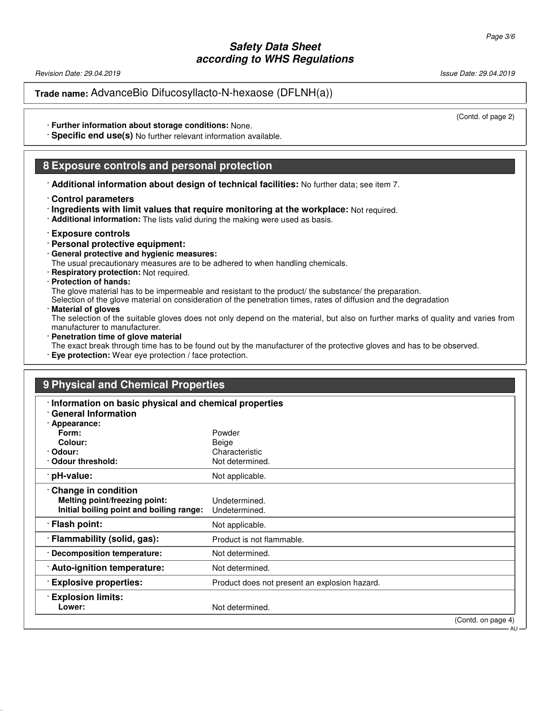Revision Date: 29.04.2019 Issue Date: 29.04.2019

**Trade name:** AdvanceBio Difucosyllacto-N-hexaose (DFLNH(a))

(Contd. of page 2)

· **Further information about storage conditions:** None.

· **Specific end use(s)** No further relevant information available.

#### **8 Exposure controls and personal protection**

· **Additional information about design of technical facilities:** No further data; see item 7.

#### · **Control parameters**

· **Ingredients with limit values that require monitoring at the workplace:** Not required.

· **Additional information:** The lists valid during the making were used as basis.

#### · **Exposure controls**

- · **Personal protective equipment:**
- · **General protective and hygienic measures:**

The usual precautionary measures are to be adhered to when handling chemicals.

· **Respiratory protection:** Not required.

#### · **Protection of hands:**

The glove material has to be impermeable and resistant to the product/ the substance/ the preparation.

Selection of the glove material on consideration of the penetration times, rates of diffusion and the degradation

· **Material of gloves**

The selection of the suitable gloves does not only depend on the material, but also on further marks of quality and varies from manufacturer to manufacturer.

· **Penetration time of glove material**

The exact break through time has to be found out by the manufacturer of the protective gloves and has to be observed.

· **Eye protection:** Wear eye protection / face protection.

| Information on basic physical and chemical properties<br><b>General Information</b><br>· Appearance:<br>Form:<br>Powder<br>Colour:<br>Beige<br>Characteristic<br>· Odour:<br>Odour threshold:<br>Not determined.<br>pH-value:<br>Not applicable.<br>Change in condition<br>Melting point/freezing point:<br>Undetermined.<br>Initial boiling point and boiling range:<br>Undetermined.<br>· Flash point:<br>Not applicable.<br>· Flammability (solid, gas):<br>Product is not flammable.<br>· Decomposition temperature:<br>Not determined.<br>· Auto-ignition temperature:<br>Not determined.<br><b>Explosive properties:</b><br>Product does not present an explosion hazard.<br><b>Explosion limits:</b> | 9 Physical and Chemical Properties |  |  |  |
|-------------------------------------------------------------------------------------------------------------------------------------------------------------------------------------------------------------------------------------------------------------------------------------------------------------------------------------------------------------------------------------------------------------------------------------------------------------------------------------------------------------------------------------------------------------------------------------------------------------------------------------------------------------------------------------------------------------|------------------------------------|--|--|--|
|                                                                                                                                                                                                                                                                                                                                                                                                                                                                                                                                                                                                                                                                                                             |                                    |  |  |  |
|                                                                                                                                                                                                                                                                                                                                                                                                                                                                                                                                                                                                                                                                                                             |                                    |  |  |  |
|                                                                                                                                                                                                                                                                                                                                                                                                                                                                                                                                                                                                                                                                                                             |                                    |  |  |  |
|                                                                                                                                                                                                                                                                                                                                                                                                                                                                                                                                                                                                                                                                                                             |                                    |  |  |  |
|                                                                                                                                                                                                                                                                                                                                                                                                                                                                                                                                                                                                                                                                                                             |                                    |  |  |  |
|                                                                                                                                                                                                                                                                                                                                                                                                                                                                                                                                                                                                                                                                                                             |                                    |  |  |  |
|                                                                                                                                                                                                                                                                                                                                                                                                                                                                                                                                                                                                                                                                                                             |                                    |  |  |  |
|                                                                                                                                                                                                                                                                                                                                                                                                                                                                                                                                                                                                                                                                                                             |                                    |  |  |  |
|                                                                                                                                                                                                                                                                                                                                                                                                                                                                                                                                                                                                                                                                                                             |                                    |  |  |  |
|                                                                                                                                                                                                                                                                                                                                                                                                                                                                                                                                                                                                                                                                                                             |                                    |  |  |  |
|                                                                                                                                                                                                                                                                                                                                                                                                                                                                                                                                                                                                                                                                                                             |                                    |  |  |  |
|                                                                                                                                                                                                                                                                                                                                                                                                                                                                                                                                                                                                                                                                                                             |                                    |  |  |  |
|                                                                                                                                                                                                                                                                                                                                                                                                                                                                                                                                                                                                                                                                                                             |                                    |  |  |  |
|                                                                                                                                                                                                                                                                                                                                                                                                                                                                                                                                                                                                                                                                                                             |                                    |  |  |  |
|                                                                                                                                                                                                                                                                                                                                                                                                                                                                                                                                                                                                                                                                                                             |                                    |  |  |  |
|                                                                                                                                                                                                                                                                                                                                                                                                                                                                                                                                                                                                                                                                                                             |                                    |  |  |  |
| Not determined.<br>Lower:                                                                                                                                                                                                                                                                                                                                                                                                                                                                                                                                                                                                                                                                                   |                                    |  |  |  |

(Contd. on page 4)

**AU**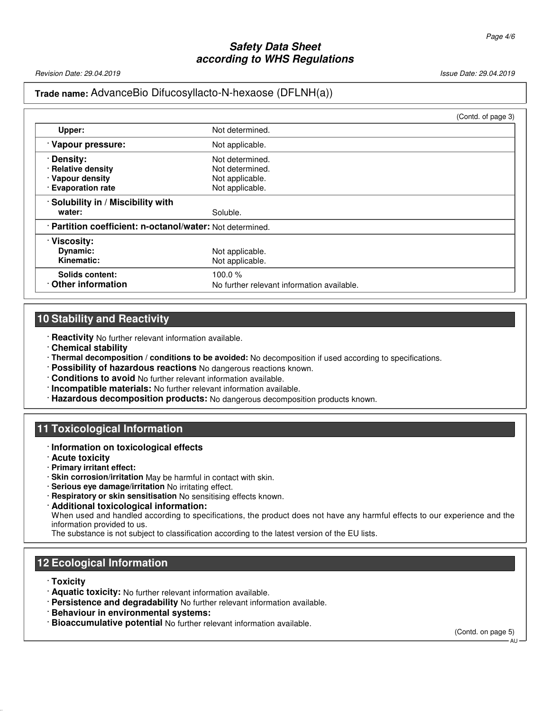Revision Date: 29.04.2019 Issue Date: 29.04.2019

# **Trade name:** AdvanceBio Difucosyllacto-N-hexaose (DFLNH(a))

|                                                           |                                            | (Contd. of page 3) |
|-----------------------------------------------------------|--------------------------------------------|--------------------|
| Upper:                                                    | Not determined.                            |                    |
| · Vapour pressure:                                        | Not applicable.                            |                    |
| · Density:                                                | Not determined.                            |                    |
| · Relative density                                        | Not determined.                            |                    |
| · Vapour density                                          | Not applicable.                            |                    |
| · Evaporation rate                                        | Not applicable.                            |                    |
| · Solubility in / Miscibility with                        |                                            |                    |
| water:                                                    | Soluble.                                   |                    |
| · Partition coefficient: n-octanol/water: Not determined. |                                            |                    |
| · Viscosity:                                              |                                            |                    |
| Dynamic:                                                  | Not applicable.                            |                    |
| Kinematic:                                                | Not applicable.                            |                    |
| Solids content:                                           | 100.0 $%$                                  |                    |
| Other information                                         | No further relevant information available. |                    |

# **10 Stability and Reactivity**

· **Reactivity** No further relevant information available.

- · **Chemical stability**
- · **Thermal decomposition / conditions to be avoided:** No decomposition if used according to specifications.
- · **Possibility of hazardous reactions** No dangerous reactions known.
- · **Conditions to avoid** No further relevant information available.
- · **Incompatible materials:** No further relevant information available.
- · **Hazardous decomposition products:** No dangerous decomposition products known.

#### **11 Toxicological Information**

- · **Information on toxicological effects**
- · **Acute toxicity**
- · **Primary irritant effect:**
- · **Skin corrosion/irritation** May be harmful in contact with skin.
- · **Serious eye damage/irritation** No irritating effect.
- · **Respiratory or skin sensitisation** No sensitising effects known.
- · **Additional toxicological information:** When used and handled according to specifications, the product does not have any harmful effects to our experience and the information provided to us.

The substance is not subject to classification according to the latest version of the EU lists.

# **12 Ecological Information**

#### · **Toxicity**

- · **Aquatic toxicity:** No further relevant information available.
- · **Persistence and degradability** No further relevant information available.
- · **Behaviour in environmental systems:**
- · **Bioaccumulative potential** No further relevant information available.

(Contd. on page 5)

AU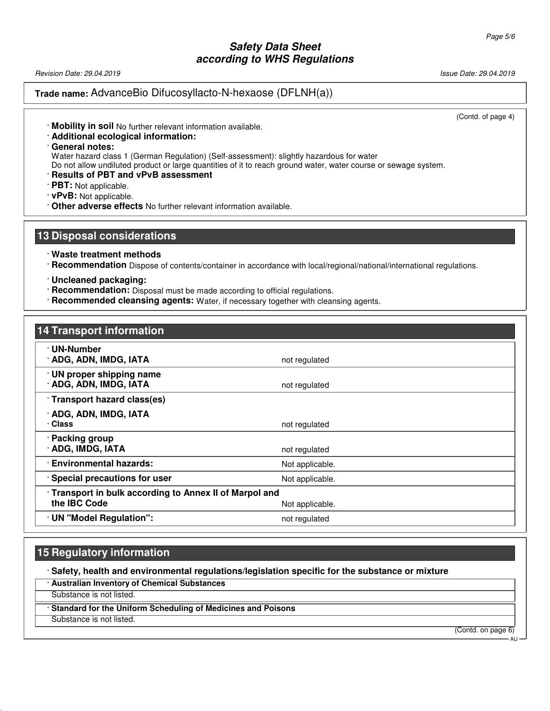Revision Date: 29.04.2019 Issue Date: 29.04.2019

#### **Trade name:** AdvanceBio Difucosyllacto-N-hexaose (DFLNH(a))

(Contd. of page 4)

- · **Mobility in soil** No further relevant information available.
- · **Additional ecological information:**
- · **General notes:**

Water hazard class 1 (German Regulation) (Self-assessment): slightly hazardous for water

Do not allow undiluted product or large quantities of it to reach ground water, water course or sewage system.

- · **Results of PBT and vPvB assessment**
- · **PBT:** Not applicable.
- · **vPvB:** Not applicable.
- · **Other adverse effects** No further relevant information available.

#### **13 Disposal considerations**

- · **Waste treatment methods**
- · **Recommendation** Dispose of contents/container in accordance with local/regional/national/international regulations.
- · **Uncleaned packaging:**
- · **Recommendation:** Disposal must be made according to official regulations.
- · **Recommended cleansing agents:** Water, if necessary together with cleansing agents.

# **14 Transport information** · **UN-Number ADG, ADN, IMDG, IATA** not regulated · **UN proper shipping name ADG, ADN, IMDG, IATA** not regulated · **Transport hazard class(es)** · **ADG, ADN, IMDG, IATA** · **Class** not regulated · **Packing group ADG, IMDG, IATA** not regulated · **Environmental hazards:** Not applicable. **Special precautions for user** Not applicable. · **Transport in bulk according to Annex II of Marpol and the IBC Code** Not applicable. · **UN "Model Regulation":** not regulated

# **15 Regulatory information**

· **Safety, health and environmental regulations/legislation specific for the substance or mixture**

· **Australian Inventory of Chemical Substances**

Substance is not listed.

· **Standard for the Uniform Scheduling of Medicines and Poisons**

Substance is not listed.

(Contd. on page 6)

AU